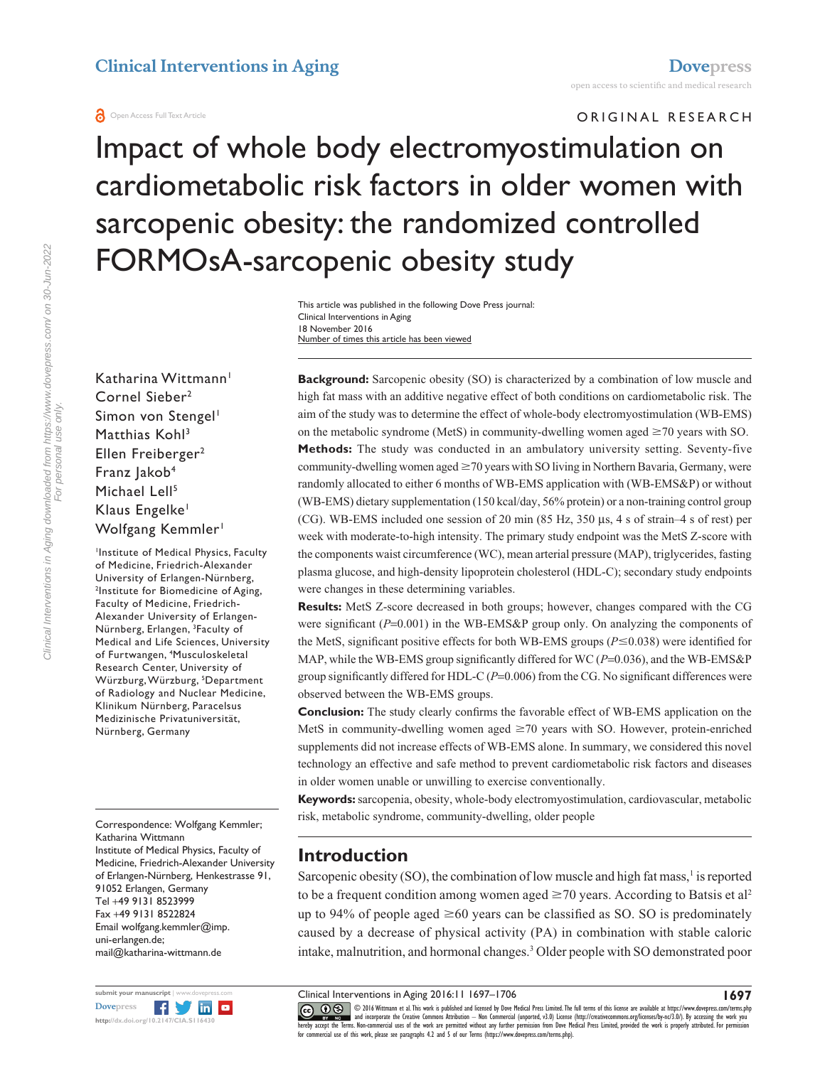#### **a** Open Access Full Text Article

ORIGINAL RESEARCH

Impact of whole body electromyostimulation on cardiometabolic risk factors in older women with sarcopenic obesity: the randomized controlled FORMOsA-sarcopenic obesity study

> Number of times this article has been viewed This article was published in the following Dove Press journal: Clinical Interventions in Aging 18 November 2016

Katharina Wittmann<sup>1</sup> Cornel Sieber2 Simon von Stengel<sup>1</sup> Matthias Kohl<sup>3</sup> Ellen Freiberger<sup>2</sup> Franz Jakob<sup>4</sup> Michael Lell<sup>5</sup> Klaus Engelke<sup>1</sup> Wolfgang Kemmler<sup>1</sup>

Institute of Medical Physics, Faculty of Medicine, Friedrich-Alexander University of Erlangen-Nürnberg, 2 <sup>2</sup>Institute for Biomedicine of Aging, Faculty of Medicine, Friedrich-Alexander University of Erlangen-Nürnberg, Erlangen, 3 Faculty of Medical and Life Sciences, University of Furtwangen, 4 Musculoskeletal Research Center, University of Würzburg, Würzburg, 5 Department of Radiology and Nuclear Medicine, Klinikum Nürnberg, Paracelsus Medizinische Privatuniversität, Nürnberg, Germany

Correspondence: Wolfgang Kemmler; Katharina Wittmann Institute of Medical Physics, Faculty of Medicine, Friedrich-Alexander University of Erlangen-Nürnberg, Henkestrasse 91, 91052 Erlangen, Germany Tel +49 9131 8523999 Fax +49 9131 8522824 Email [wolfgang.kemmler@imp.](mailto:wolfgang.kemmler@imp.uni-erlangen.de) [uni-erlangen.de](mailto:wolfgang.kemmler@imp.uni-erlangen.de); [mail@katharina-wittmann.de](mailto:mail@katharina-wittmann.de)



**Background:** Sarcopenic obesity (SO) is characterized by a combination of low muscle and high fat mass with an additive negative effect of both conditions on cardiometabolic risk. The aim of the study was to determine the effect of whole-body electromyostimulation (WB-EMS) on the metabolic syndrome (MetS) in community-dwelling women aged  $\geq 70$  years with SO. **Methods:** The study was conducted in an ambulatory university setting. Seventy-five community-dwelling women aged  $\geq$  70 years with SO living in Northern Bavaria, Germany, were randomly allocated to either 6 months of WB-EMS application with (WB-EMS&P) or without (WB-EMS) dietary supplementation (150 kcal/day, 56% protein) or a non-training control group (CG). WB-EMS included one session of 20 min (85 Hz, 350 µs, 4 s of strain–4 s of rest) per week with moderate-to-high intensity. The primary study endpoint was the MetS Z-score with the components waist circumference (WC), mean arterial pressure (MAP), triglycerides, fasting plasma glucose, and high-density lipoprotein cholesterol (HDL-C); secondary study endpoints were changes in these determining variables.

**Results:** MetS Z-score decreased in both groups; however, changes compared with the CG were significant  $(P=0.001)$  in the WB-EMS&P group only. On analyzing the components of the MetS, significant positive effects for both WB-EMS groups ( $P \le 0.038$ ) were identified for MAP, while the WB-EMS group significantly differed for WC ( $P=0.036$ ), and the WB-EMS&P group significantly differed for HDL-C (*P*=0.006) from the CG. No significant differences were observed between the WB-EMS groups.

**Conclusion:** The study clearly confirms the favorable effect of WB-EMS application on the MetS in community-dwelling women aged  $\geq 70$  years with SO. However, protein-enriched supplements did not increase effects of WB-EMS alone. In summary, we considered this novel technology an effective and safe method to prevent cardiometabolic risk factors and diseases in older women unable or unwilling to exercise conventionally.

**Keywords:** sarcopenia, obesity, whole-body electromyostimulation, cardiovascular, metabolic risk, metabolic syndrome, community-dwelling, older people

# **Introduction**

Sarcopenic obesity  $(SO)$ , the combination of low muscle and high fat mass,<sup>1</sup> is reported to be a frequent condition among women aged  $\geq$  70 years. According to Batsis et al<sup>2</sup> up to 94% of people aged  $\geq 60$  years can be classified as SO. SO is predominately caused by a decrease of physical activity (PA) in combination with stable caloric intake, malnutrition, and hormonal changes.3 Older people with SO demonstrated poor

Clinical Interventions in Aging 2016:11 1697–1706

CCC 1 © 2016 Wittmann et al. This work is published and licensed by Dove Medical Press Limited. The full terms of this license are available at <https://www.dovepress.com/terms.php><br>[hereby accept the Terms](http://www.dovepress.com/permissions.php). Non-commercial us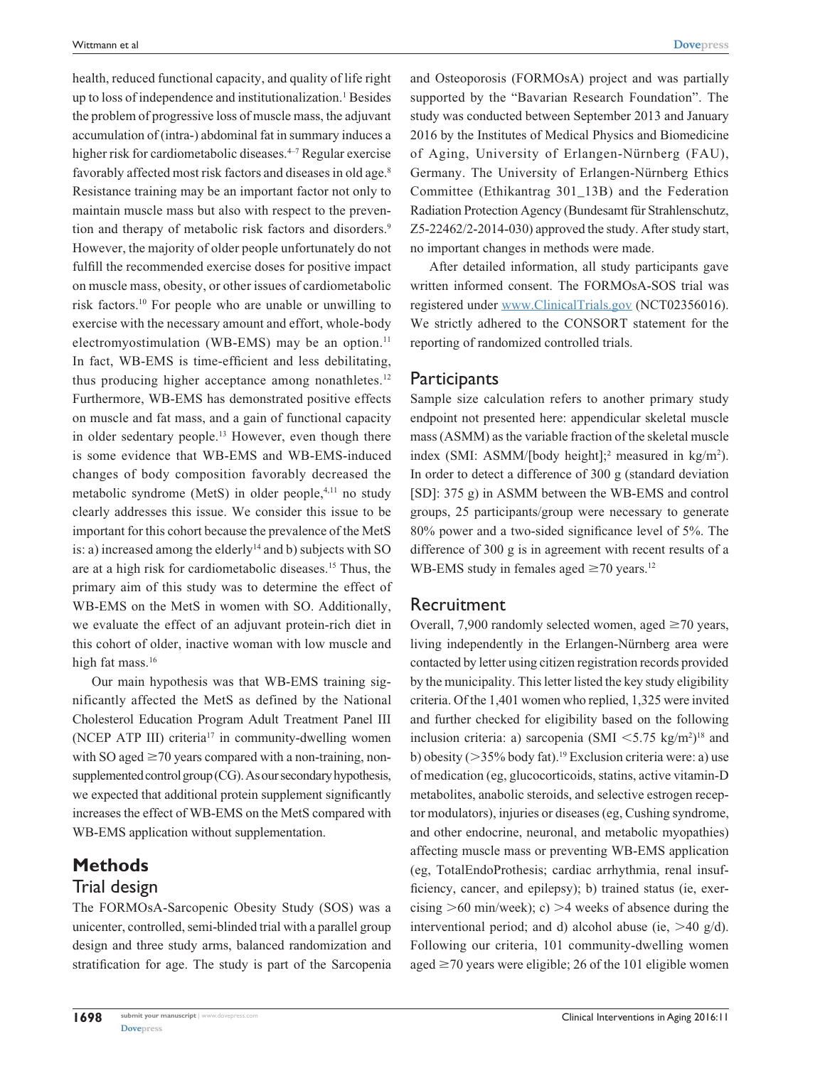health, reduced functional capacity, and quality of life right up to loss of independence and institutionalization.<sup>1</sup> Besides the problem of progressive loss of muscle mass, the adjuvant accumulation of (intra-) abdominal fat in summary induces a higher risk for cardiometabolic diseases.<sup>4-7</sup> Regular exercise favorably affected most risk factors and diseases in old age.<sup>8</sup> Resistance training may be an important factor not only to maintain muscle mass but also with respect to the prevention and therapy of metabolic risk factors and disorders.<sup>9</sup> However, the majority of older people unfortunately do not fulfill the recommended exercise doses for positive impact on muscle mass, obesity, or other issues of cardiometabolic risk factors.10 For people who are unable or unwilling to exercise with the necessary amount and effort, whole-body electromyostimulation (WB-EMS) may be an option. $11$ In fact, WB-EMS is time-efficient and less debilitating, thus producing higher acceptance among nonathletes.<sup>12</sup> Furthermore, WB-EMS has demonstrated positive effects on muscle and fat mass, and a gain of functional capacity in older sedentary people.13 However, even though there is some evidence that WB-EMS and WB-EMS-induced changes of body composition favorably decreased the metabolic syndrome (MetS) in older people,<sup>4,11</sup> no study clearly addresses this issue. We consider this issue to be important for this cohort because the prevalence of the MetS is: a) increased among the elderly<sup>14</sup> and b) subjects with SO are at a high risk for cardiometabolic diseases.15 Thus, the primary aim of this study was to determine the effect of WB-EMS on the MetS in women with SO. Additionally, we evaluate the effect of an adjuvant protein-rich diet in this cohort of older, inactive woman with low muscle and high fat mass.<sup>16</sup>

Our main hypothesis was that WB-EMS training significantly affected the MetS as defined by the National Cholesterol Education Program Adult Treatment Panel III (NCEP ATP III) criteria<sup>17</sup> in community-dwelling women with SO aged  $\geq$  70 years compared with a non-training, nonsupplemented control group (CG). As our secondary hypothesis, we expected that additional protein supplement significantly increases the effect of WB-EMS on the MetS compared with WB-EMS application without supplementation.

# **Methods**

## Trial design

The FORMOsA-Sarcopenic Obesity Study (SOS) was a unicenter, controlled, semi-blinded trial with a parallel group design and three study arms, balanced randomization and stratification for age. The study is part of the Sarcopenia and Osteoporosis (FORMOsA) project and was partially supported by the "Bavarian Research Foundation". The study was conducted between September 2013 and January 2016 by the Institutes of Medical Physics and Biomedicine of Aging, University of Erlangen-Nürnberg (FAU), Germany. The University of Erlangen-Nürnberg Ethics Committee (Ethikantrag 301\_13B) and the Federation Radiation Protection Agency (Bundesamt für Strahlenschutz, Z5-22462/2-2014-030) approved the study. After study start, no important changes in methods were made.

After detailed information, all study participants gave written informed consent. The FORMOsA-SOS trial was registered under [www.ClinicalTrials.gov](https://www.ClinicalTrials.gov) (NCT02356016). We strictly adhered to the CONSORT statement for the reporting of randomized controlled trials.

## **Participants**

Sample size calculation refers to another primary study endpoint not presented here: appendicular skeletal muscle mass (ASMM) as the variable fraction of the skeletal muscle index (SMI: ASMM/[body height];<sup>2</sup> measured in kg/m<sup>2</sup>). In order to detect a difference of 300 g (standard deviation [SD]: 375 g) in ASMM between the WB-EMS and control groups, 25 participants/group were necessary to generate 80% power and a two-sided significance level of 5%. The difference of 300 g is in agreement with recent results of a WB-EMS study in females aged  $\geq$ 70 years.<sup>12</sup>

## Recruitment

Overall, 7,900 randomly selected women, aged  $\geq$  70 years, living independently in the Erlangen-Nürnberg area were contacted by letter using citizen registration records provided by the municipality. This letter listed the key study eligibility criteria. Of the 1,401 women who replied, 1,325 were invited and further checked for eligibility based on the following inclusion criteria: a) sarcopenia (SMI  $\leq$  5.75 kg/m<sup>2</sup>)<sup>18</sup> and b) obesity ( $>35\%$  body fat).<sup>19</sup> Exclusion criteria were: a) use of medication (eg, glucocorticoids, statins, active vitamin-D metabolites, anabolic steroids, and selective estrogen receptor modulators), injuries or diseases (eg, Cushing syndrome, and other endocrine, neuronal, and metabolic myopathies) affecting muscle mass or preventing WB-EMS application (eg, TotalEndoProthesis; cardiac arrhythmia, renal insufficiency, cancer, and epilepsy); b) trained status (ie, exercising  $>60$  min/week); c)  $>4$  weeks of absence during the interventional period; and d) alcohol abuse (ie,  $>40$  g/d). Following our criteria, 101 community-dwelling women aged  $\geq$  70 years were eligible; 26 of the 101 eligible women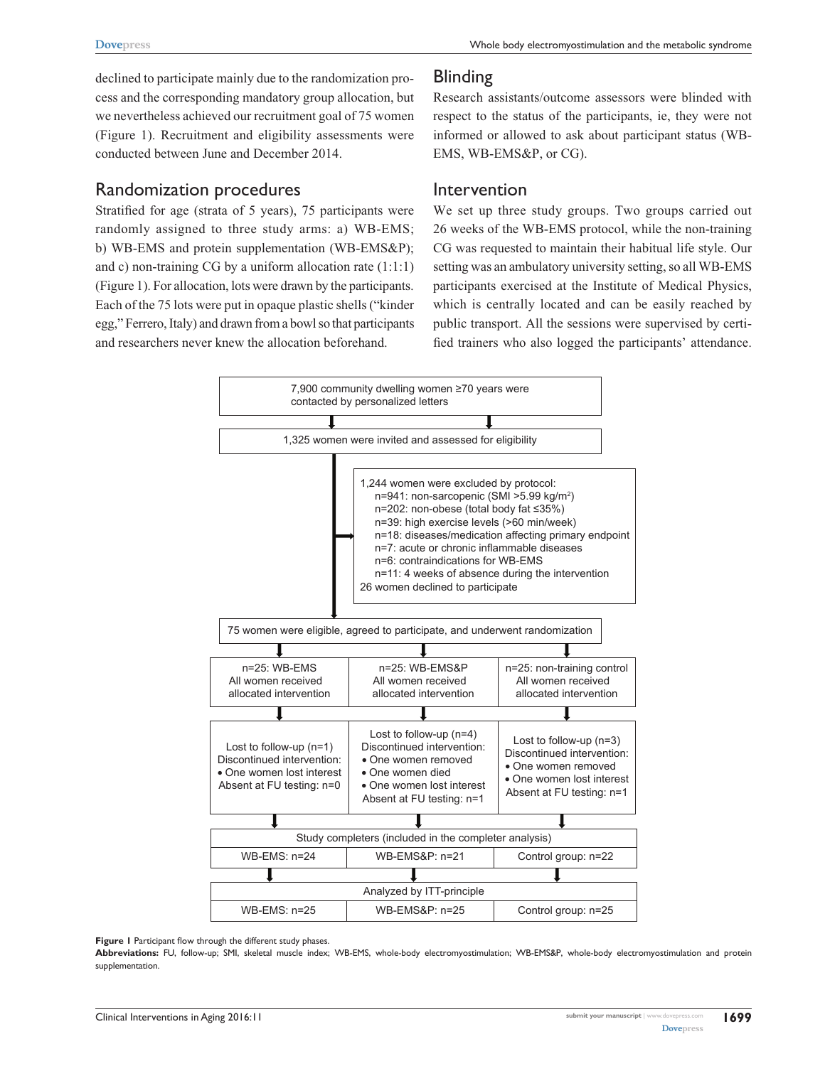declined to participate mainly due to the randomization process and the corresponding mandatory group allocation, but we nevertheless achieved our recruitment goal of 75 women (Figure 1). Recruitment and eligibility assessments were conducted between June and December 2014.

## Randomization procedures

Stratified for age (strata of 5 years), 75 participants were randomly assigned to three study arms: a) WB-EMS; b) WB-EMS and protein supplementation (WB-EMS&P); and c) non-training CG by a uniform allocation rate (1:1:1) (Figure 1). For allocation, lots were drawn by the participants. Each of the 75 lots were put in opaque plastic shells ("kinder egg," Ferrero, Italy) and drawn from a bowl so that participants and researchers never knew the allocation beforehand.

# Blinding

Research assistants/outcome assessors were blinded with respect to the status of the participants, ie, they were not informed or allowed to ask about participant status (WB-EMS, WB-EMS&P, or CG).

## Intervention

We set up three study groups. Two groups carried out 26 weeks of the WB-EMS protocol, while the non-training CG was requested to maintain their habitual life style. Our setting was an ambulatory university setting, so all WB-EMS participants exercised at the Institute of Medical Physics, which is centrally located and can be easily reached by public transport. All the sessions were supervised by certified trainers who also logged the participants' attendance.



**Figure 1** Participant flow through the different study phases.

**Abbreviations:** FU, follow-up; SMI, skeletal muscle index; WB-EMS, whole-body electromyostimulation; WB-EMS&P, whole-body electromyostimulation and protein supplementation.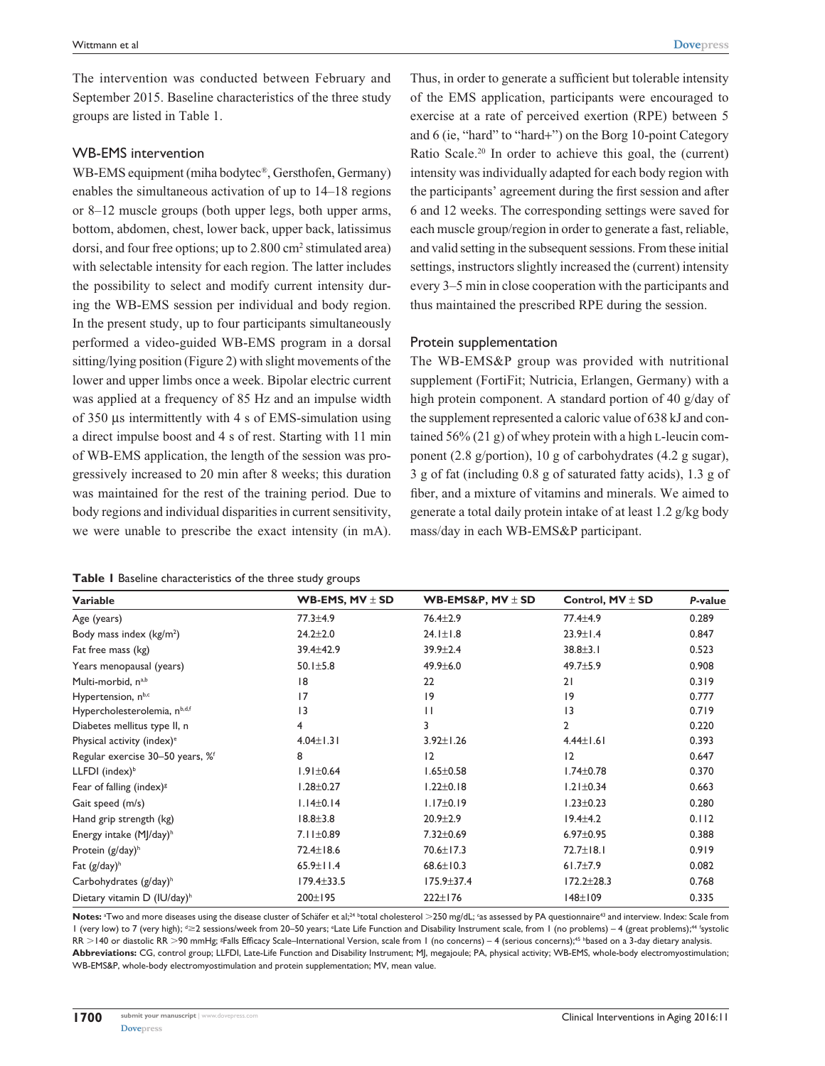The intervention was conducted between February and September 2015. Baseline characteristics of the three study groups are listed in Table 1.

### WB-EMS intervention

WB-EMS equipment (miha bodytec®, Gersthofen, Germany) enables the simultaneous activation of up to 14–18 regions or 8–12 muscle groups (both upper legs, both upper arms, bottom, abdomen, chest, lower back, upper back, latissimus dorsi, and four free options; up to 2.800 cm<sup>2</sup> stimulated area) with selectable intensity for each region. The latter includes the possibility to select and modify current intensity during the WB-EMS session per individual and body region. In the present study, up to four participants simultaneously performed a video-guided WB-EMS program in a dorsal sitting/lying position (Figure 2) with slight movements of the lower and upper limbs once a week. Bipolar electric current was applied at a frequency of 85 Hz and an impulse width of 350 µs intermittently with 4 s of EMS-simulation using a direct impulse boost and 4 s of rest. Starting with 11 min of WB-EMS application, the length of the session was progressively increased to 20 min after 8 weeks; this duration was maintained for the rest of the training period. Due to body regions and individual disparities in current sensitivity, we were unable to prescribe the exact intensity (in mA).

|  |  | Table I Baseline characteristics of the three study groups |  |  |  |  |
|--|--|------------------------------------------------------------|--|--|--|--|
|--|--|------------------------------------------------------------|--|--|--|--|

Thus, in order to generate a sufficient but tolerable intensity of the EMS application, participants were encouraged to exercise at a rate of perceived exertion (RPE) between 5 and 6 (ie, "hard" to "hard+") on the Borg 10-point Category Ratio Scale.20 In order to achieve this goal, the (current) intensity was individually adapted for each body region with the participants' agreement during the first session and after 6 and 12 weeks. The corresponding settings were saved for each muscle group/region in order to generate a fast, reliable, and valid setting in the subsequent sessions. From these initial settings, instructors slightly increased the (current) intensity every 3–5 min in close cooperation with the participants and thus maintained the prescribed RPE during the session.

#### Protein supplementation

The WB-EMS&P group was provided with nutritional supplement (FortiFit; Nutricia, Erlangen, Germany) with a high protein component. A standard portion of 40 g/day of the supplement represented a caloric value of 638 kJ and contained 56% (21 g) of whey protein with a high L-leucin component (2.8 g/portion), 10 g of carbohydrates (4.2 g sugar), 3 g of fat (including 0.8 g of saturated fatty acids), 1.3 g of fiber, and a mixture of vitamins and minerals. We aimed to generate a total daily protein intake of at least 1.2 g/kg body mass/day in each WB-EMS&P participant.

| Variable                                | WB-EMS, $MV \pm SD$ | WB-EMS&P, $MV \pm SD$ | Control, $MV \pm SD$ | P-value |
|-----------------------------------------|---------------------|-----------------------|----------------------|---------|
| Age (years)                             | $77.3 \pm 4.9$      | $76.4 \pm 2.9$        | 77.4±4.9             | 0.289   |
| Body mass index $(kg/m2)$               | $24.2 \pm 2.0$      | $24.1 \pm 1.8$        | $23.9 \pm 1.4$       | 0.847   |
| Fat free mass (kg)                      | 39.4±42.9           | 39.9±2.4              | $38.8 \pm 3.1$       | 0.523   |
| Years menopausal (years)                | 50.1 $\pm$ 5.8      | 49.9±6.0              | $49.7 \pm 5.9$       | 0.908   |
| Multi-morbid, na,b                      | 8                   | 22                    | 21                   | 0.319   |
| Hypertension, nb,c                      | 17                  | 9                     | 9                    | 0.777   |
| Hypercholesterolemia, nb,d,f            | 3                   | $\mathbf{H}$          | 3                    | 0.719   |
| Diabetes mellitus type II, n            | 4                   | 3                     | $\mathbf{2}$         | 0.220   |
| Physical activity (index) <sup>e</sup>  | $4.04 \pm 1.31$     | $3.92 \pm 1.26$       | $4.44 \pm 1.61$      | 0.393   |
| Regular exercise 30-50 years, %         | 8                   | 12                    | 12                   | 0.647   |
| LLFDI (index) <sup>b</sup>              | $1.91 \pm 0.64$     | $1.65 \pm 0.58$       | $1.74 \pm 0.78$      | 0.370   |
| Fear of falling (index) <sup>8</sup>    | $1.28 \pm 0.27$     | $1.22 \pm 0.18$       | $1.21 \pm 0.34$      | 0.663   |
| Gait speed (m/s)                        | $1.14 \pm 0.14$     | $1.17 \pm 0.19$       | $1.23 \pm 0.23$      | 0.280   |
| Hand grip strength (kg)                 | $18.8 \pm 3.8$      | $20.9 \pm 2.9$        | $19.4 \pm 4.2$       | 0.112   |
| Energy intake (MJ/day) <sup>h</sup>     | 7.11±0.89           | $7.32 \pm 0.69$       | $6.97 \pm 0.95$      | 0.388   |
| Protein (g/day) <sup>h</sup>            | 72.4±18.6           | 70.6±17.3             | $72.7 \pm 18.1$      | 0.919   |
| Fat $(g/day)^h$                         | 65.9 $\pm$ 11.4     | $68.6 \pm 10.3$       | $61.7 \pm 7.9$       | 0.082   |
| Carbohydrates (g/day) <sup>h</sup>      | 179.4±33.5          | $175.9 \pm 37.4$      | $172.2 \pm 28.3$     | 0.768   |
| Dietary vitamin D (IU/day) <sup>h</sup> | 200±195             | 222±176               | $148 \pm 109$        | 0.335   |

<code>Notes:</code> "Two and more diseases using the disease cluster of Schäfer et al;<sup>24 b</sup>total cholesterol  $\geq$ 250 mg/dL; <sup>c</sup>as assessed by PA questionnaire<sup>43</sup> and interview. Index: Scale from l (very low) to 7 (very high); <sup>d</sup>≥2 sessions/week from 20–50 years; <sup>e</sup>Late Life Function and Disability Instrument scale, from 1 (no problems) – 4 (great problems);<sup>44 f</sup>systolic RR >140 or diastolic RR >90 mmHg; &Falls Efficacy Scale–International Version, scale from 1 (no concerns) – 4 (serious concerns);<sup>45 h</sup>based on a 3-day dietary analysis. **Abbreviations:** CG, control group; LLFDI, Late-Life Function and Disability Instrument; MJ, megajoule; PA, physical activity; WB-EMS, whole-body electromyostimulation; WB-EMS&P, whole-body electromyostimulation and protein supplementation; MV, mean value.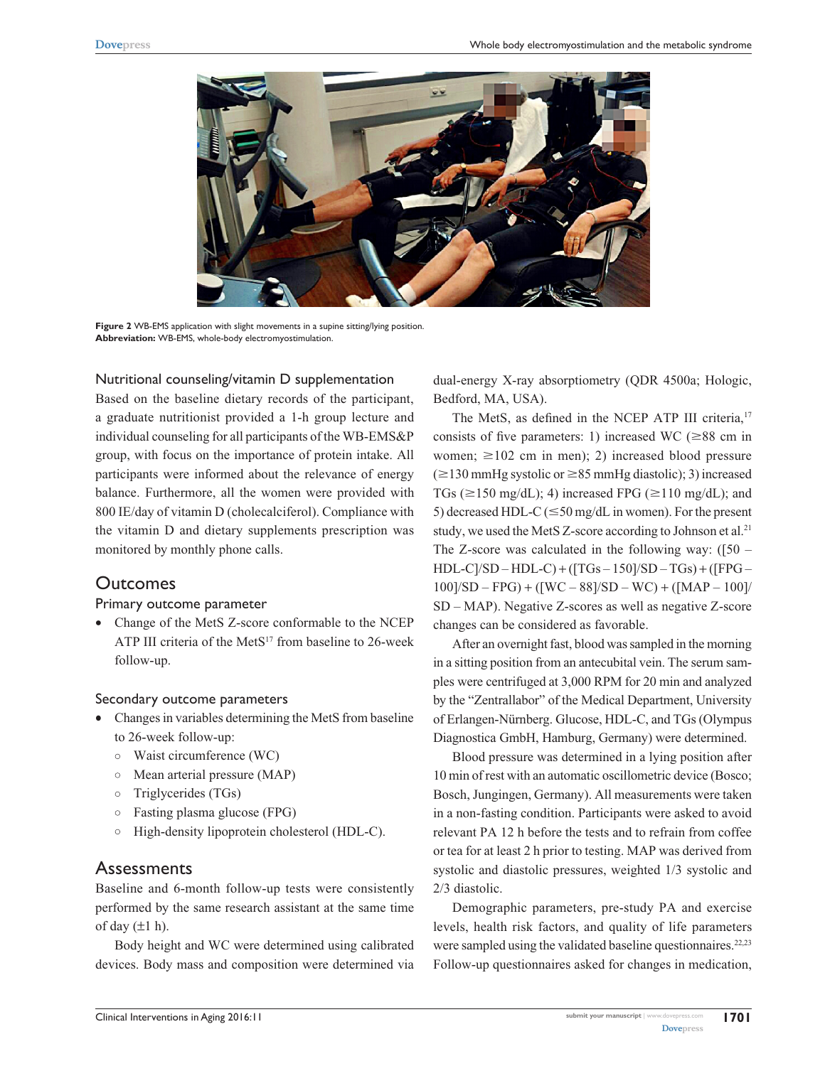

**Figure 2** WB-EMS application with slight movements in a supine sitting/lying position. **Abbreviation:** WB-EMS, whole-body electromyostimulation.

#### Nutritional counseling/vitamin D supplementation

Based on the baseline dietary records of the participant, a graduate nutritionist provided a 1-h group lecture and individual counseling for all participants of the WB-EMS&P group, with focus on the importance of protein intake. All participants were informed about the relevance of energy balance. Furthermore, all the women were provided with 800 IE/day of vitamin D (cholecalciferol). Compliance with the vitamin D and dietary supplements prescription was monitored by monthly phone calls.

# **Outcomes**

#### Primary outcome parameter

• Change of the MetS Z-score conformable to the NCEP ATP III criteria of the MetS<sup>17</sup> from baseline to 26-week follow-up.

### Secondary outcome parameters

- **•** Changes in variables determining the MetS from baseline to 26-week follow-up:
	- Waist circumference (WC)
	- Mean arterial pressure (MAP)
	- Triglycerides (TGs)  $\circ$
	- Fasting plasma glucose (FPG)
	- High-density lipoprotein cholesterol (HDL-C).

## Assessments

Baseline and 6-month follow-up tests were consistently performed by the same research assistant at the same time of day  $(\pm 1 \text{ h})$ .

Body height and WC were determined using calibrated devices. Body mass and composition were determined via dual-energy X-ray absorptiometry (QDR 4500a; Hologic, Bedford, MA, USA).

The MetS, as defined in the NCEP ATP III criteria,<sup>17</sup> consists of five parameters: 1) increased WC ( $\geq 88$  cm in women;  $\geq 102$  cm in men); 2) increased blood pressure  $(\geq 130 \text{ mmHg}$  systolic or  $\geq 85 \text{ mmHg}$  diastolic); 3) increased TGs ( $\geq$ 150 mg/dL); 4) increased FPG ( $\geq$ 110 mg/dL); and 5) decreased HDL-C ( $\leq$ 50 mg/dL in women). For the present study, we used the MetS Z-score according to Johnson et al.<sup>21</sup> The Z-score was calculated in the following way:  $(50 HDL-C/SD-HDL-C)+(TTGs-150/SD-TGs)+(FPG 100$ ]/SD – FPG) + ([WC – 88]/SD – WC) + ([MAP – 100]/ SD – MAP). Negative Z-scores as well as negative Z-score changes can be considered as favorable.

After an overnight fast, blood was sampled in the morning in a sitting position from an antecubital vein. The serum samples were centrifuged at 3,000 RPM for 20 min and analyzed by the "Zentrallabor" of the Medical Department, University of Erlangen-Nürnberg. Glucose, HDL-C, and TGs (Olympus Diagnostica GmbH, Hamburg, Germany) were determined.

Blood pressure was determined in a lying position after 10 min of rest with an automatic oscillometric device (Bosco; Bosch, Jungingen, Germany). All measurements were taken in a non-fasting condition. Participants were asked to avoid relevant PA 12 h before the tests and to refrain from coffee or tea for at least 2 h prior to testing. MAP was derived from systolic and diastolic pressures, weighted 1/3 systolic and 2/3 diastolic.

Demographic parameters, pre-study PA and exercise levels, health risk factors, and quality of life parameters were sampled using the validated baseline questionnaires.<sup>22,23</sup> Follow-up questionnaires asked for changes in medication,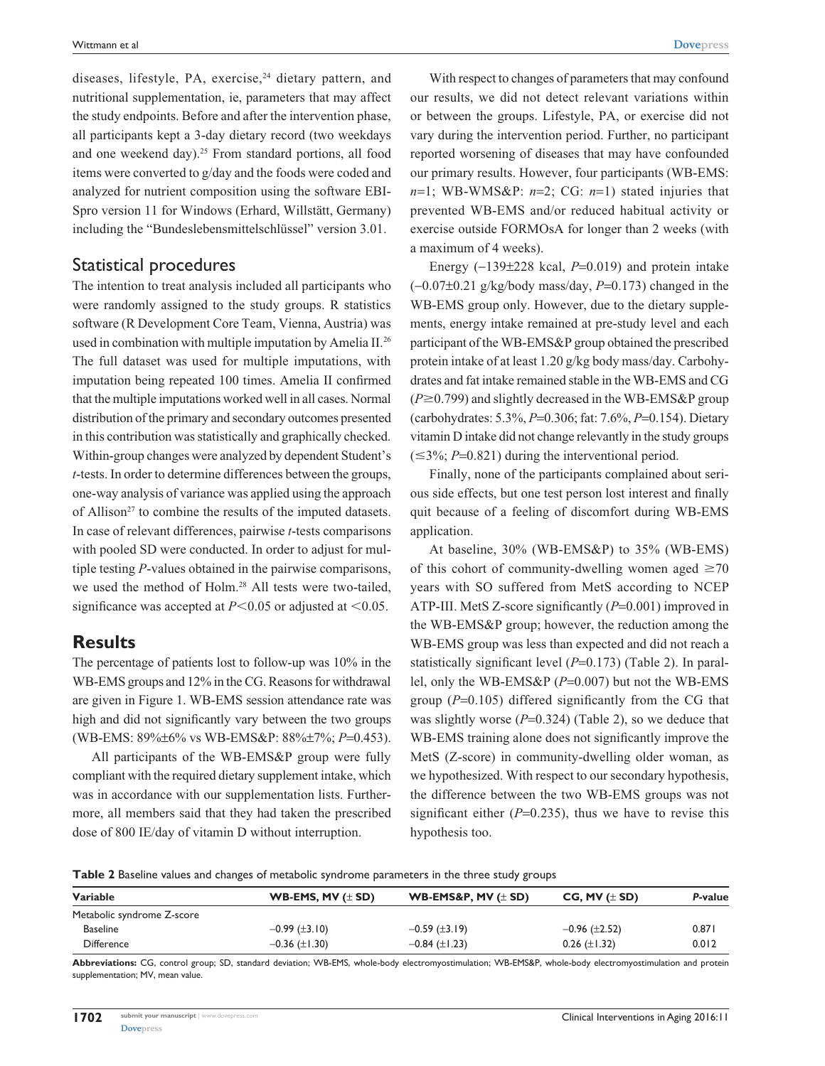diseases, lifestyle, PA, exercise, $24$  dietary pattern, and nutritional supplementation, ie, parameters that may affect the study endpoints. Before and after the intervention phase, all participants kept a 3-day dietary record (two weekdays and one weekend day).<sup>25</sup> From standard portions, all food items were converted to g/day and the foods were coded and analyzed for nutrient composition using the software EBI-Spro version 11 for Windows (Erhard, Willstätt, Germany) including the "Bundeslebensmittelschlüssel" version 3.01.

## Statistical procedures

The intention to treat analysis included all participants who were randomly assigned to the study groups. R statistics software (R Development Core Team, Vienna, Austria) was used in combination with multiple imputation by Amelia II.26 The full dataset was used for multiple imputations, with imputation being repeated 100 times. Amelia II confirmed that the multiple imputations worked well in all cases. Normal distribution of the primary and secondary outcomes presented in this contribution was statistically and graphically checked. Within-group changes were analyzed by dependent Student's *t*-tests. In order to determine differences between the groups, one-way analysis of variance was applied using the approach of Allison<sup>27</sup> to combine the results of the imputed datasets. In case of relevant differences, pairwise *t*-tests comparisons with pooled SD were conducted. In order to adjust for multiple testing *P*-values obtained in the pairwise comparisons, we used the method of Holm.<sup>28</sup> All tests were two-tailed, significance was accepted at  $P < 0.05$  or adjusted at  $< 0.05$ .

## **Results**

The percentage of patients lost to follow-up was 10% in the WB-EMS groups and 12% in the CG. Reasons for withdrawal are given in Figure 1. WB-EMS session attendance rate was high and did not significantly vary between the two groups (WB-EMS: 89%±6% vs WB-EMS&P: 88%±7%; *P*=0.453).

All participants of the WB-EMS&P group were fully compliant with the required dietary supplement intake, which was in accordance with our supplementation lists. Furthermore, all members said that they had taken the prescribed dose of 800 IE/day of vitamin D without interruption.

With respect to changes of parameters that may confound our results, we did not detect relevant variations within or between the groups. Lifestyle, PA, or exercise did not vary during the intervention period. Further, no participant reported worsening of diseases that may have confounded our primary results. However, four participants (WB-EMS: *n*=1; WB-WMS&P: *n*=2; CG: *n*=1) stated injuries that prevented WB-EMS and/or reduced habitual activity or exercise outside FORMOsA for longer than 2 weeks (with a maximum of 4 weeks).

Energy (-139±228 kcal, *P*=0.019) and protein intake  $(-0.07\pm0.21 \text{ g/kg/body mass/day}, P=0.173)$  changed in the WB-EMS group only. However, due to the dietary supplements, energy intake remained at pre-study level and each participant of the WB-EMS&P group obtained the prescribed protein intake of at least 1.20 g/kg body mass/day. Carbohydrates and fat intake remained stable in the WB-EMS and CG  $(P \ge 0.799)$  and slightly decreased in the WB-EMS&P group (carbohydrates: 5.3%, *P*=0.306; fat: 7.6%, *P*=0.154). Dietary vitamin D intake did not change relevantly in the study groups  $(\leq 3\%; P=0.821)$  during the interventional period.

Finally, none of the participants complained about serious side effects, but one test person lost interest and finally quit because of a feeling of discomfort during WB-EMS application.

At baseline, 30% (WB-EMS&P) to 35% (WB-EMS) of this cohort of community-dwelling women aged  $\geq 70$ years with SO suffered from MetS according to NCEP ATP-III. MetS Z-score significantly (*P*=0.001) improved in the WB-EMS&P group; however, the reduction among the WB-EMS group was less than expected and did not reach a statistically significant level (*P*=0.173) (Table 2). In parallel, only the WB-EMS&P (*P*=0.007) but not the WB-EMS group (*P*=0.105) differed significantly from the CG that was slightly worse ( $P=0.324$ ) (Table 2), so we deduce that WB-EMS training alone does not significantly improve the MetS (Z-score) in community-dwelling older woman, as we hypothesized. With respect to our secondary hypothesis, the difference between the two WB-EMS groups was not significant either  $(P=0.235)$ , thus we have to revise this hypothesis too.

**Table 2** Baseline values and changes of metabolic syndrome parameters in the three study groups

| Variable                   | WB-EMS, MV $(\pm$ SD) | WB-EMS&P, MV $(\pm$ SD) | CG, MV $(\pm$ SD)     | P-value |
|----------------------------|-----------------------|-------------------------|-----------------------|---------|
| Metabolic syndrome Z-score |                       |                         |                       |         |
| <b>Baseline</b>            | $-0.99$ ( $\pm$ 3.10) | $-0.59$ ( $\pm$ 3.19)   | $-0.96$ ( $\pm$ 2.52) | 0.871   |
| <b>Difference</b>          | $-0.36$ ( $\pm$ 1.30) | $-0.84$ ( $\pm$ 1.23)   | $0.26 \ (\pm 1.32)$   | 0.012   |

**Abbreviations:** CG, control group; SD, standard deviation; WB-EMS, whole-body electromyostimulation; WB-EMS&P, whole-body electromyostimulation and protein supplementation; MV, mean value.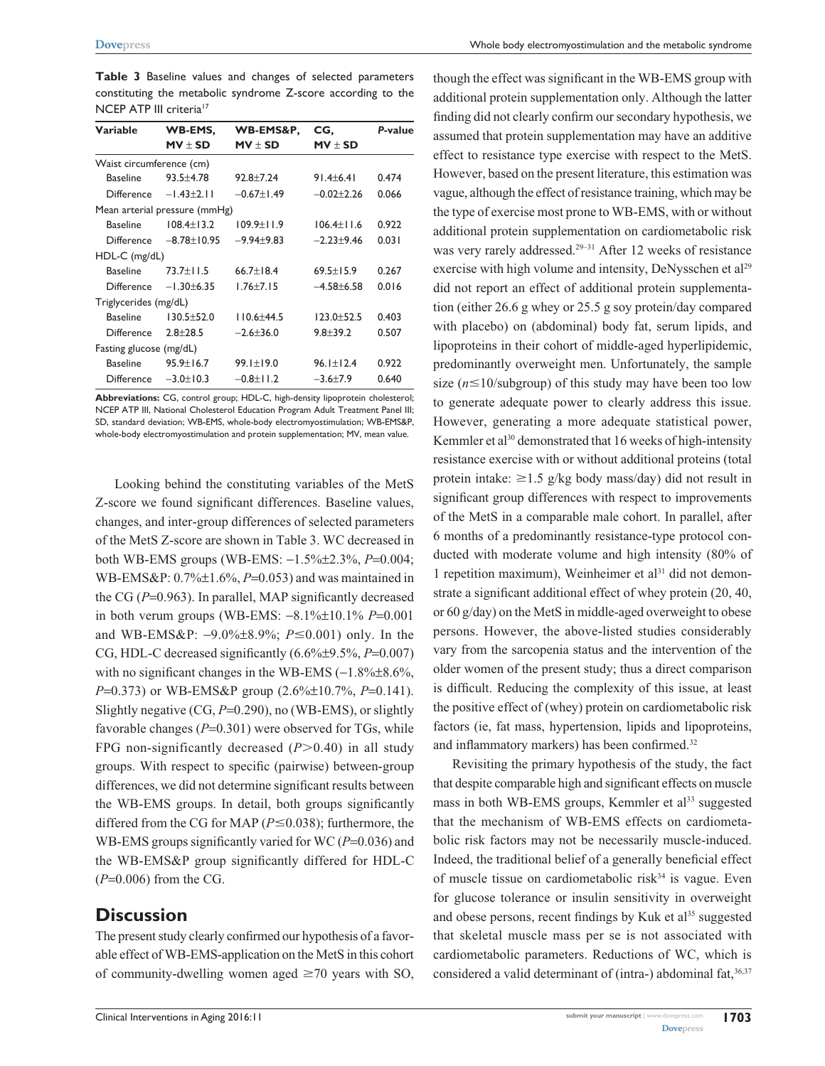| Variable                 | WB-EMS,                       | WB-EMS&P,        | CG.                           | P-value |  |
|--------------------------|-------------------------------|------------------|-------------------------------|---------|--|
|                          | $MV + SD$                     | $MY \pm SD$      | $\textsf{MV} \pm \textsf{SD}$ |         |  |
| Waist circumference (cm) |                               |                  |                               |         |  |
| <b>Baseline</b>          | $93.5 + 4.78$                 | $92.8 + 7.24$    | $91.4 \pm 6.41$               | 0.474   |  |
|                          | $Difference$ $-1.43\pm2.11$   | $-0.67 \pm 1.49$ | $-0.02 + 2.26$                | 0.066   |  |
|                          | Mean arterial pressure (mmHg) |                  |                               |         |  |
| <b>Baseline</b>          | $108.4 \pm 13.2$              | $109.9 \pm 11.9$ | $106.4 \pm 11.6$              | 0.922   |  |
| <b>Difference</b>        | $-8.78 \pm 10.95$             | $-9.94+9.83$     | $-2.23 + 9.46$                | 0.031   |  |
| HDL-C (mg/dL)            |                               |                  |                               |         |  |
| <b>Baseline</b>          | 73.7±11.5                     | $66.7 + 18.4$    | $69.5 \pm 15.9$               | 0.267   |  |
| <b>Difference</b>        | $-1.30 + 6.35$                | $1.76 + 7.15$    | $-4.58 + 6.58$                | 0.016   |  |
| Triglycerides (mg/dL)    |                               |                  |                               |         |  |
| <b>Baseline</b>          | $130.5 + 52.0$                | $110.6 + 44.5$   | $123.0 + 52.5$                | 0.403   |  |
| Difference               | $2.8 + 28.5$                  | $-2.6 + 36.0$    | $9.8 + 39.2$                  | 0.507   |  |
| Fasting glucose (mg/dL)  |                               |                  |                               |         |  |
| <b>Baseline</b>          | $95.9 + 16.7$                 | $99.1 \pm 19.0$  | $96.1 \pm 12.4$               | 0.922   |  |
| <b>Difference</b>        | $-3.0 \pm 10.3$               | $-0.8 + 11.2$    | $-3.6 + 7.9$                  | 0.640   |  |

**Table 3** Baseline values and changes of selected parameters constituting the metabolic syndrome Z-score according to the NCEP ATP III criteria<sup>17</sup>

**Abbreviations:** CG, control group; HDL-C, high-density lipoprotein cholesterol; NCEP ATP III, National Cholesterol Education Program Adult Treatment Panel III; SD, standard deviation; WB-EMS, whole-body electromyostimulation; WB-EMS&P, whole-body electromyostimulation and protein supplementation; MV, mean value.

Looking behind the constituting variables of the MetS Z-score we found significant differences. Baseline values, changes, and inter-group differences of selected parameters of the MetS Z-score are shown in Table 3. WC decreased in both WB-EMS groups (WB-EMS: -1.5%±2.3%, *P*=0.004; WB-EMS&P: 0.7%±1.6%, *P*=0.053) and was maintained in the CG (*P*=0.963). In parallel, MAP significantly decreased in both verum groups (WB-EMS: -8.1%±10.1% *P*=0.001 and WB-EMS&P:  $-9.0\% \pm 8.9\%$ ;  $P \le 0.001$ ) only. In the CG, HDL-C decreased significantly (6.6%±9.5%, *P*=0.007) with no significant changes in the WB-EMS  $(-1.8\% \pm 8.6\%$ , *P*=0.373) or WB-EMS&P group (2.6%±10.7%, *P*=0.141). Slightly negative (CG, *P*=0.290), no (WB-EMS), or slightly favorable changes ( $P=0.301$ ) were observed for TGs, while FPG non-significantly decreased  $(P>0.40)$  in all study groups. With respect to specific (pairwise) between-group differences, we did not determine significant results between the WB-EMS groups. In detail, both groups significantly differed from the CG for MAP ( $P \le 0.038$ ); furthermore, the WB-EMS groups significantly varied for WC ( $P=0.036$ ) and the WB-EMS&P group significantly differed for HDL-C (*P*=0.006) from the CG.

## **Discussion**

The present study clearly confirmed our hypothesis of a favorable effect of WB-EMS-application on the MetS in this cohort of community-dwelling women aged  $\geq 70$  years with SO, though the effect was significant in the WB-EMS group with additional protein supplementation only. Although the latter finding did not clearly confirm our secondary hypothesis, we assumed that protein supplementation may have an additive effect to resistance type exercise with respect to the MetS. However, based on the present literature, this estimation was vague, although the effect of resistance training, which may be the type of exercise most prone to WB-EMS, with or without additional protein supplementation on cardiometabolic risk was very rarely addressed.<sup>29-31</sup> After 12 weeks of resistance exercise with high volume and intensity, DeNysschen et al<sup>29</sup> did not report an effect of additional protein supplementation (either 26.6 g whey or 25.5 g soy protein/day compared with placebo) on (abdominal) body fat, serum lipids, and lipoproteins in their cohort of middle-aged hyperlipidemic, predominantly overweight men. Unfortunately, the sample size ( $n \le 10$ /subgroup) of this study may have been too low to generate adequate power to clearly address this issue. However, generating a more adequate statistical power, Kemmler et al<sup>30</sup> demonstrated that 16 weeks of high-intensity resistance exercise with or without additional proteins (total protein intake:  $\geq$ 1.5 g/kg body mass/day) did not result in significant group differences with respect to improvements of the MetS in a comparable male cohort. In parallel, after 6 months of a predominantly resistance-type protocol conducted with moderate volume and high intensity (80% of 1 repetition maximum), Weinheimer et al $31$  did not demonstrate a significant additional effect of whey protein (20, 40, or 60 g/day) on the MetS in middle-aged overweight to obese persons. However, the above-listed studies considerably vary from the sarcopenia status and the intervention of the older women of the present study; thus a direct comparison is difficult. Reducing the complexity of this issue, at least the positive effect of (whey) protein on cardiometabolic risk factors (ie, fat mass, hypertension, lipids and lipoproteins, and inflammatory markers) has been confirmed.<sup>32</sup>

Revisiting the primary hypothesis of the study, the fact that despite comparable high and significant effects on muscle mass in both WB-EMS groups, Kemmler et  $al<sup>33</sup>$  suggested that the mechanism of WB-EMS effects on cardiometabolic risk factors may not be necessarily muscle-induced. Indeed, the traditional belief of a generally beneficial effect of muscle tissue on cardiometabolic risk<sup>34</sup> is vague. Even for glucose tolerance or insulin sensitivity in overweight and obese persons, recent findings by Kuk et  $al<sup>35</sup>$  suggested that skeletal muscle mass per se is not associated with cardiometabolic parameters. Reductions of WC, which is considered a valid determinant of (intra-) abdominal fat, 36,37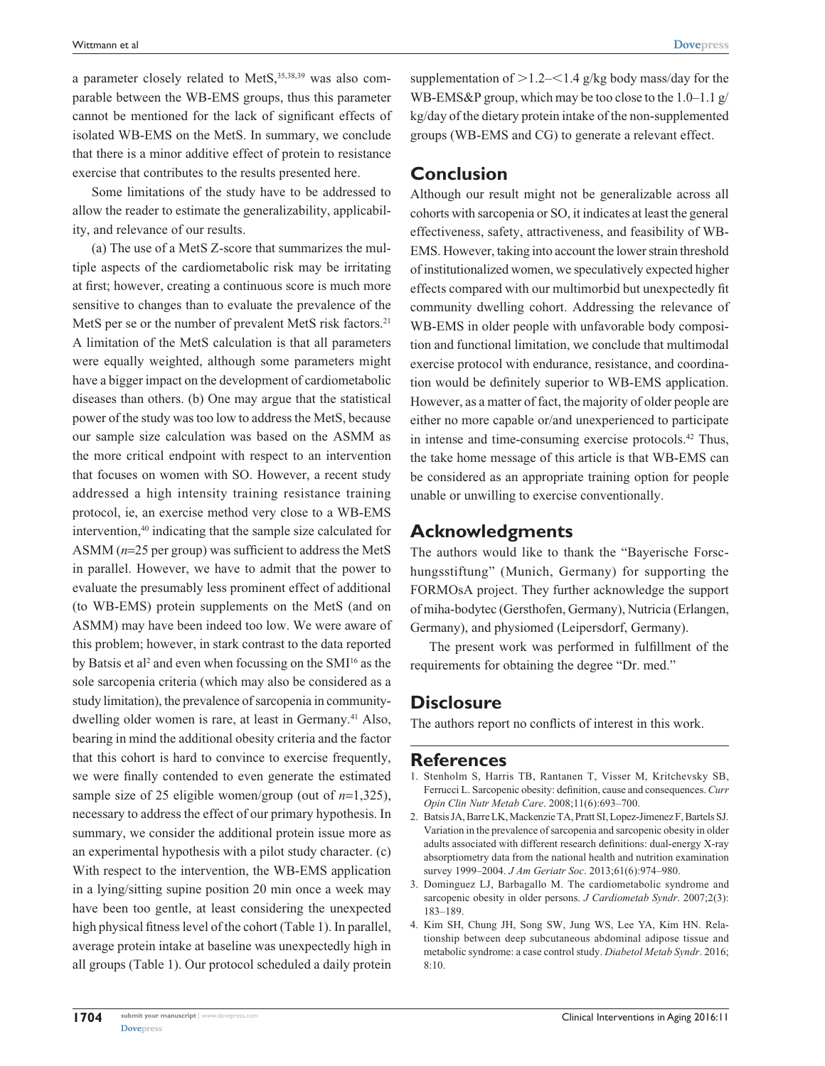a parameter closely related to MetS, 35,38,39 was also comparable between the WB-EMS groups, thus this parameter cannot be mentioned for the lack of significant effects of isolated WB-EMS on the MetS. In summary, we conclude that there is a minor additive effect of protein to resistance exercise that contributes to the results presented here.

Some limitations of the study have to be addressed to allow the reader to estimate the generalizability, applicability, and relevance of our results.

(a) The use of a MetS Z-score that summarizes the multiple aspects of the cardiometabolic risk may be irritating at first; however, creating a continuous score is much more sensitive to changes than to evaluate the prevalence of the MetS per se or the number of prevalent MetS risk factors.<sup>21</sup> A limitation of the MetS calculation is that all parameters were equally weighted, although some parameters might have a bigger impact on the development of cardiometabolic diseases than others. (b) One may argue that the statistical power of the study was too low to address the MetS, because our sample size calculation was based on the ASMM as the more critical endpoint with respect to an intervention that focuses on women with SO. However, a recent study addressed a high intensity training resistance training protocol, ie, an exercise method very close to a WB-EMS intervention,<sup>40</sup> indicating that the sample size calculated for ASMM (*n*=25 per group) was sufficient to address the MetS in parallel. However, we have to admit that the power to evaluate the presumably less prominent effect of additional (to WB-EMS) protein supplements on the MetS (and on ASMM) may have been indeed too low. We were aware of this problem; however, in stark contrast to the data reported by Batsis et al<sup>2</sup> and even when focussing on the  $SMI^{16}$  as the sole sarcopenia criteria (which may also be considered as a study limitation), the prevalence of sarcopenia in communitydwelling older women is rare, at least in Germany.<sup>41</sup> Also, bearing in mind the additional obesity criteria and the factor that this cohort is hard to convince to exercise frequently, we were finally contended to even generate the estimated sample size of 25 eligible women/group (out of *n*=1,325), necessary to address the effect of our primary hypothesis. In summary, we consider the additional protein issue more as an experimental hypothesis with a pilot study character. (c) With respect to the intervention, the WB-EMS application in a lying/sitting supine position 20 min once a week may have been too gentle, at least considering the unexpected high physical fitness level of the cohort (Table 1). In parallel, average protein intake at baseline was unexpectedly high in all groups (Table 1). Our protocol scheduled a daily protein

supplementation of  $>1.2–<1.4$  g/kg body mass/day for the WB-EMS&P group, which may be too close to the 1.0–1.1 g/ kg/day of the dietary protein intake of the non-supplemented groups (WB-EMS and CG) to generate a relevant effect.

## **Conclusion**

Although our result might not be generalizable across all cohorts with sarcopenia or SO, it indicates at least the general effectiveness, safety, attractiveness, and feasibility of WB-EMS. However, taking into account the lower strain threshold of institutionalized women, we speculatively expected higher effects compared with our multimorbid but unexpectedly fit community dwelling cohort. Addressing the relevance of WB-EMS in older people with unfavorable body composition and functional limitation, we conclude that multimodal exercise protocol with endurance, resistance, and coordination would be definitely superior to WB-EMS application. However, as a matter of fact, the majority of older people are either no more capable or/and unexperienced to participate in intense and time-consuming exercise protocols.42 Thus, the take home message of this article is that WB-EMS can be considered as an appropriate training option for people unable or unwilling to exercise conventionally.

## **Acknowledgments**

The authors would like to thank the "Bayerische Forschungsstiftung" (Munich, Germany) for supporting the FORMOsA project. They further acknowledge the support of miha-bodytec (Gersthofen, Germany), Nutricia (Erlangen, Germany), and physiomed (Leipersdorf, Germany).

The present work was performed in fulfillment of the requirements for obtaining the degree "Dr. med."

## **Disclosure**

The authors report no conflicts of interest in this work.

### **References**

- 1. Stenholm S, Harris TB, Rantanen T, Visser M, Kritchevsky SB, Ferrucci L. Sarcopenic obesity: definition, cause and consequences. *Curr Opin Clin Nutr Metab Care*. 2008;11(6):693–700.
- 2. Batsis JA, Barre LK, Mackenzie TA, Pratt SI, Lopez-Jimenez F, Bartels SJ. Variation in the prevalence of sarcopenia and sarcopenic obesity in older adults associated with different research definitions: dual-energy X-ray absorptiometry data from the national health and nutrition examination survey 1999–2004. *J Am Geriatr Soc*. 2013;61(6):974–980.
- 3. Dominguez LJ, Barbagallo M. The cardiometabolic syndrome and sarcopenic obesity in older persons. *J Cardiometab Syndr*. 2007;2(3): 183–189.
- 4. Kim SH, Chung JH, Song SW, Jung WS, Lee YA, Kim HN. Relationship between deep subcutaneous abdominal adipose tissue and metabolic syndrome: a case control study. *Diabetol Metab Syndr*. 2016; 8:10.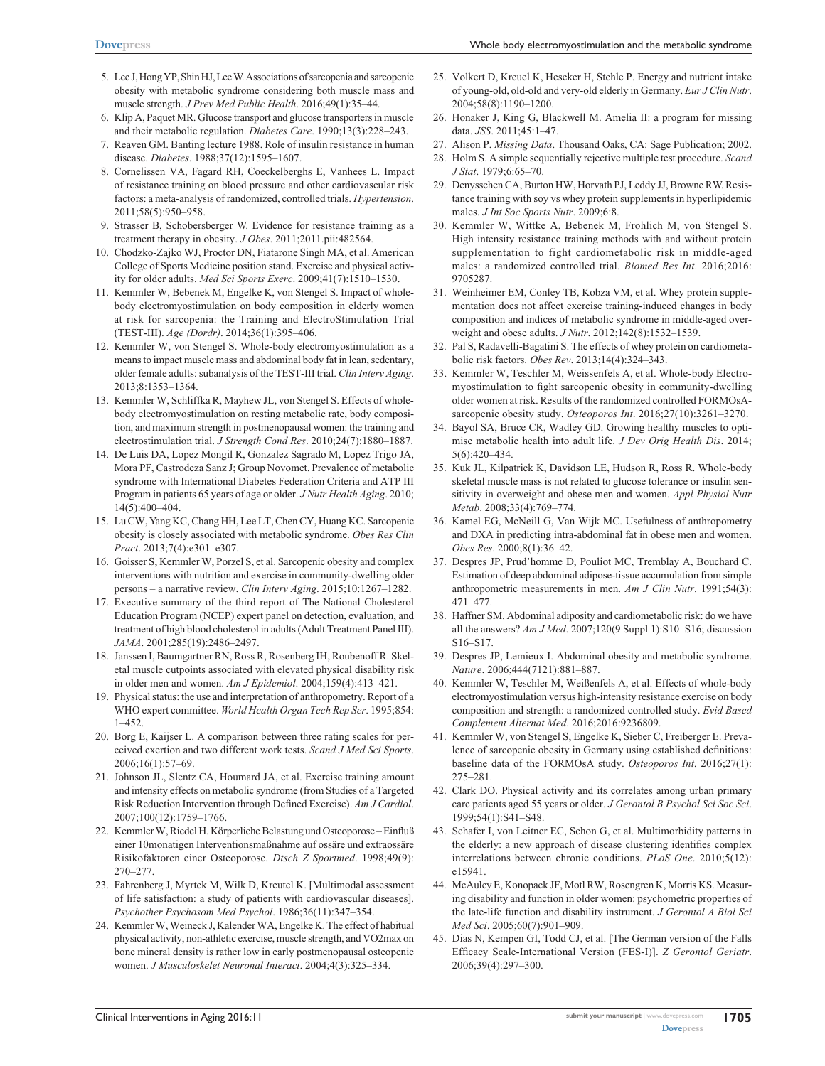- 5. Lee J, Hong YP, Shin HJ, Lee W. Associations of sarcopenia and sarcopenic obesity with metabolic syndrome considering both muscle mass and muscle strength. *J Prev Med Public Health*. 2016;49(1):35–44.
- 6. Klip A, Paquet MR. Glucose transport and glucose transporters in muscle and their metabolic regulation. *Diabetes Care*. 1990;13(3):228–243.
- 7. Reaven GM. Banting lecture 1988. Role of insulin resistance in human disease. *Diabetes*. 1988;37(12):1595–1607.
- 8. Cornelissen VA, Fagard RH, Coeckelberghs E, Vanhees L. Impact of resistance training on blood pressure and other cardiovascular risk factors: a meta-analysis of randomized, controlled trials. *Hypertension*. 2011;58(5):950–958.
- 9. Strasser B, Schobersberger W. Evidence for resistance training as a treatment therapy in obesity. *J Obes*. 2011;2011.pii:482564.
- 10. Chodzko-Zajko WJ, Proctor DN, Fiatarone Singh MA, et al. American College of Sports Medicine position stand. Exercise and physical activity for older adults. *Med Sci Sports Exerc*. 2009;41(7):1510–1530.
- 11. Kemmler W, Bebenek M, Engelke K, von Stengel S. Impact of wholebody electromyostimulation on body composition in elderly women at risk for sarcopenia: the Training and ElectroStimulation Trial (TEST-III). *Age (Dordr)*. 2014;36(1):395–406.
- 12. Kemmler W, von Stengel S. Whole-body electromyostimulation as a means to impact muscle mass and abdominal body fat in lean, sedentary, older female adults: subanalysis of the TEST-III trial. *Clin Interv Aging*. 2013;8:1353–1364.
- 13. Kemmler W, Schliffka R, Mayhew JL, von Stengel S. Effects of wholebody electromyostimulation on resting metabolic rate, body composition, and maximum strength in postmenopausal women: the training and electrostimulation trial. *J Strength Cond Res*. 2010;24(7):1880–1887.
- 14. De Luis DA, Lopez Mongil R, Gonzalez Sagrado M, Lopez Trigo JA, Mora PF, Castrodeza Sanz J; Group Novomet. Prevalence of metabolic syndrome with International Diabetes Federation Criteria and ATP III Program in patients 65 years of age or older. *J Nutr Health Aging*. 2010; 14(5):400–404.
- 15. Lu CW, Yang KC, Chang HH, Lee LT, Chen CY, Huang KC. Sarcopenic obesity is closely associated with metabolic syndrome. *Obes Res Clin Pract*. 2013;7(4):e301–e307.
- 16. Goisser S, Kemmler W, Porzel S, et al. Sarcopenic obesity and complex interventions with nutrition and exercise in community-dwelling older persons – a narrative review. *Clin Interv Aging*. 2015;10:1267–1282.
- 17. Executive summary of the third report of The National Cholesterol Education Program (NCEP) expert panel on detection, evaluation, and treatment of high blood cholesterol in adults (Adult Treatment Panel III). *JAMA*. 2001;285(19):2486–2497.
- 18. Janssen I, Baumgartner RN, Ross R, Rosenberg IH, Roubenoff R. Skeletal muscle cutpoints associated with elevated physical disability risk in older men and women. *Am J Epidemiol*. 2004;159(4):413–421.
- 19. Physical status: the use and interpretation of anthropometry. Report of a WHO expert committee. *World Health Organ Tech Rep Ser*. 1995;854: 1–452.
- 20. Borg E, Kaijser L. A comparison between three rating scales for perceived exertion and two different work tests. *Scand J Med Sci Sports*. 2006;16(1):57–69.
- 21. Johnson JL, Slentz CA, Houmard JA, et al. Exercise training amount and intensity effects on metabolic syndrome (from Studies of a Targeted Risk Reduction Intervention through Defined Exercise). *Am J Cardiol*. 2007;100(12):1759–1766.
- 22. Kemmler W, Riedel H. Körperliche Belastung und Osteoporose Einfluß einer 10monatigen Interventionsmaßnahme auf ossäre und extraossäre Risikofaktoren einer Osteoporose. *Dtsch Z Sportmed*. 1998;49(9): 270–277.
- 23. Fahrenberg J, Myrtek M, Wilk D, Kreutel K. [Multimodal assessment of life satisfaction: a study of patients with cardiovascular diseases]. *Psychother Psychosom Med Psychol*. 1986;36(11):347–354.
- 24. Kemmler W, Weineck J, Kalender WA, Engelke K. The effect of habitual physical activity, non-athletic exercise, muscle strength, and VO2max on bone mineral density is rather low in early postmenopausal osteopenic women. *J Musculoskelet Neuronal Interact*. 2004;4(3):325–334.
- 25. Volkert D, Kreuel K, Heseker H, Stehle P. Energy and nutrient intake of young-old, old-old and very-old elderly in Germany. *Eur J Clin Nutr*. 2004;58(8):1190–1200.
- 26. Honaker J, King G, Blackwell M. Amelia II: a program for missing data. *JSS*. 2011;45:1–47.
- 27. Alison P. *Missing Data*. Thousand Oaks, CA: Sage Publication; 2002.
- 28. Holm S. A simple sequentially rejective multiple test procedure. *Scand J Stat*. 1979;6:65–70.
- 29. Denysschen CA, Burton HW, Horvath PJ, Leddy JJ, Browne RW. Resistance training with soy vs whey protein supplements in hyperlipidemic males. *J Int Soc Sports Nutr*. 2009;6:8.
- 30. Kemmler W, Wittke A, Bebenek M, Frohlich M, von Stengel S. High intensity resistance training methods with and without protein supplementation to fight cardiometabolic risk in middle-aged males: a randomized controlled trial. *Biomed Res Int*. 2016;2016: 9705287.
- 31. Weinheimer EM, Conley TB, Kobza VM, et al. Whey protein supplementation does not affect exercise training-induced changes in body composition and indices of metabolic syndrome in middle-aged overweight and obese adults. *J Nutr*. 2012;142(8):1532–1539.
- 32. Pal S, Radavelli-Bagatini S. The effects of whey protein on cardiometabolic risk factors. *Obes Rev*. 2013;14(4):324–343.
- 33. Kemmler W, Teschler M, Weissenfels A, et al. Whole-body Electromyostimulation to fight sarcopenic obesity in community-dwelling older women at risk. Results of the randomized controlled FORMOsAsarcopenic obesity study. *Osteoporos Int*. 2016;27(10):3261–3270.
- 34. Bayol SA, Bruce CR, Wadley GD. Growing healthy muscles to optimise metabolic health into adult life. *J Dev Orig Health Dis*. 2014; 5(6):420–434.
- 35. Kuk JL, Kilpatrick K, Davidson LE, Hudson R, Ross R. Whole-body skeletal muscle mass is not related to glucose tolerance or insulin sensitivity in overweight and obese men and women. *Appl Physiol Nutr Metab*. 2008;33(4):769–774.
- 36. Kamel EG, McNeill G, Van Wijk MC. Usefulness of anthropometry and DXA in predicting intra-abdominal fat in obese men and women. *Obes Res*. 2000;8(1):36–42.
- 37. Despres JP, Prud'homme D, Pouliot MC, Tremblay A, Bouchard C. Estimation of deep abdominal adipose-tissue accumulation from simple anthropometric measurements in men. *Am J Clin Nutr*. 1991;54(3): 471–477.
- 38. Haffner SM. Abdominal adiposity and cardiometabolic risk: do we have all the answers? *Am J Med*. 2007;120(9 Suppl 1):S10–S16; discussion S16–S17.
- 39. Despres JP, Lemieux I. Abdominal obesity and metabolic syndrome. *Nature*. 2006;444(7121):881–887.
- 40. Kemmler W, Teschler M, Weißenfels A, et al. Effects of whole-body electromyostimulation versus high-intensity resistance exercise on body composition and strength: a randomized controlled study. *Evid Based Complement Alternat Med*. 2016;2016:9236809.
- 41. Kemmler W, von Stengel S, Engelke K, Sieber C, Freiberger E. Prevalence of sarcopenic obesity in Germany using established definitions: baseline data of the FORMOsA study. *Osteoporos Int*. 2016;27(1): 275–281.
- 42. Clark DO. Physical activity and its correlates among urban primary care patients aged 55 years or older. *J Gerontol B Psychol Sci Soc Sci*. 1999;54(1):S41–S48.
- 43. Schafer I, von Leitner EC, Schon G, et al. Multimorbidity patterns in the elderly: a new approach of disease clustering identifies complex interrelations between chronic conditions. *PLoS One*. 2010;5(12): e15941.
- 44. McAuley E, Konopack JF, Motl RW, Rosengren K, Morris KS. Measuring disability and function in older women: psychometric properties of the late-life function and disability instrument. *J Gerontol A Biol Sci Med Sci*. 2005;60(7):901–909.
- 45. Dias N, Kempen GI, Todd CJ, et al. [The German version of the Falls Efficacy Scale-International Version (FES-I)]. *Z Gerontol Geriatr*. 2006;39(4):297–300.